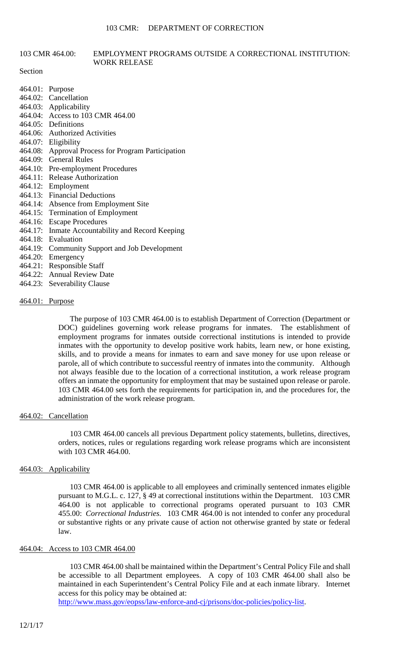# 103 CMR 464.00: EMPLOYMENT PROGRAMS OUTSIDE A CORRECTIONAL INSTITUTION: WORK RELEASE

#### **Section**

- 464.01: Purpose
- 464.02: Cancellation
- 464.03: Applicability
- 464.04: Access to 103 CMR 464.00
- 464.05: Definitions
- 464.06: Authorized Activities
- 464.07: Eligibility
- 464.08: Approval Process for Program Participation
- 464.09: General Rules
- 464.10: Pre-employment Procedures
- 464.11: Release Authorization
- 464.12: Employment
- 464.13: Financial Deductions
- 464.14: Absence from Employment Site
- 464.15: Termination of Employment
- 464.16: Escape Procedures
- 464.17: Inmate Accountability and Record Keeping
- 464.18: Evaluation
- 464.19: Community Support and Job Development
- 464.20: Emergency
- 464.21: Responsible Staff
- 464.22: Annual Review Date
- 464.23: Severability Clause

# 464.01: Purpose

The purpose of 103 CMR 464.00 is to establish Department of Correction (Department or DOC) guidelines governing work release programs for inmates. The establishment of employment programs for inmates outside correctional institutions is intended to provide inmates with the opportunity to develop positive work habits, learn new, or hone existing, skills, and to provide a means for inmates to earn and save money for use upon release or parole, all of which contribute to successful reentry of inmates into the community. Although not always feasible due to the location of a correctional institution, a work release program offers an inmate the opportunity for employment that may be sustained upon release or parole. 103 CMR 464.00 sets forth the requirements for participation in, and the procedures for, the administration of the work release program.

### 464.02: Cancellation

103 CMR 464.00 cancels all previous Department policy statements, bulletins, directives, orders, notices, rules or regulations regarding work release programs which are inconsistent with 103 CMR 464.00.

# 464.03: Applicability

103 CMR 464.00 is applicable to all employees and criminally sentenced inmates eligible pursuant to M.G.L. c. 127, § 49 at correctional institutions within the Department. 103 CMR 464.00 is not applicable to correctional programs operated pursuant to 103 CMR 455.00: *Correctional Industries*. 103 CMR 464.00 is not intended to confer any procedural or substantive rights or any private cause of action not otherwise granted by state or federal law.

# 464.04: Access to 103 CMR 464.00

103 CMR 464.00 shall be maintained within the Department's Central Policy File and shall be accessible to all Department employees. A copy of 103 CMR 464.00 shall also be maintained in each Superintendent's Central Policy File and at each inmate library. Internet access for this policy may be obtained at:

http://www.mass.gov/eopss/law-enforce-and-cj/prisons/doc-policies/policy-list.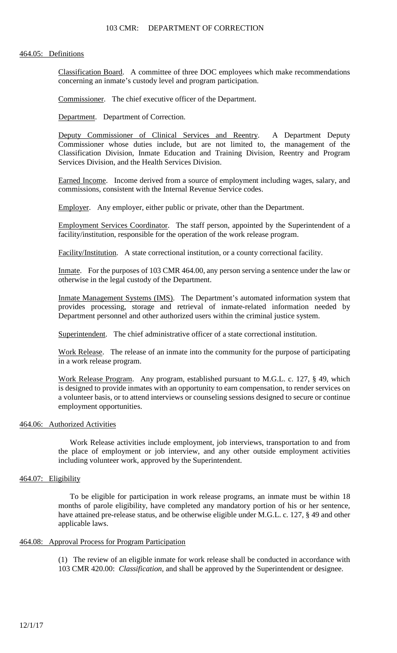### 103 CMR: DEPARTMENT OF CORRECTION

### 464.05: Definitions

Classification Board. A committee of three DOC employees which make recommendations concerning an inmate's custody level and program participation.

Commissioner. The chief executive officer of the Department.

Department. Department of Correction.

Deputy Commissioner of Clinical Services and Reentry. A Department Deputy Commissioner whose duties include, but are not limited to, the management of the Classification Division, Inmate Education and Training Division, Reentry and Program Services Division, and the Health Services Division.

Earned Income. Income derived from a source of employment including wages, salary, and commissions, consistent with the Internal Revenue Service codes.

Employer. Any employer, either public or private, other than the Department.

Employment Services Coordinator. The staff person, appointed by the Superintendent of a facility/institution, responsible for the operation of the work release program.

Facility/Institution. A state correctional institution, or a county correctional facility.

Inmate. For the purposes of 103 CMR 464.00, any person serving a sentence under the law or otherwise in the legal custody of the Department.

Inmate Management Systems (IMS). The Department's automated information system that provides processing, storage and retrieval of inmate-related information needed by Department personnel and other authorized users within the criminal justice system.

Superintendent. The chief administrative officer of a state correctional institution.

Work Release. The release of an inmate into the community for the purpose of participating in a work release program.

Work Release Program. Any program, established pursuant to M.G.L. c. 127, § 49, which is designed to provide inmates with an opportunity to earn compensation, to render services on a volunteer basis, or to attend interviews or counseling sessions designed to secure or continue employment opportunities.

# 464.06: Authorized Activities

Work Release activities include employment, job interviews, transportation to and from the place of employment or job interview, and any other outside employment activities including volunteer work, approved by the Superintendent.

# 464.07: Eligibility

To be eligible for participation in work release programs, an inmate must be within 18 months of parole eligibility, have completed any mandatory portion of his or her sentence, have attained pre-release status, and be otherwise eligible under M.G.L. c. 127, § 49 and other applicable laws.

## 464.08: Approval Process for Program Participation

(1) The review of an eligible inmate for work release shall be conducted in accordance with 103 CMR 420.00: *Classification*, and shall be approved by the Superintendent or designee.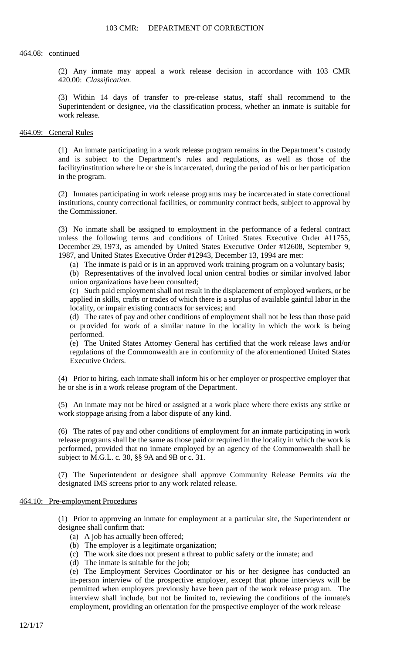#### 464.08: continued

(2) Any inmate may appeal a work release decision in accordance with 103 CMR 420.00: *Classification*.

(3) Within 14 days of transfer to pre-release status, staff shall recommend to the Superintendent or designee, *via* the classification process, whether an inmate is suitable for work release.

# 464.09: General Rules

(1) An inmate participating in a work release program remains in the Department's custody and is subject to the Department's rules and regulations, as well as those of the facility/institution where he or she is incarcerated, during the period of his or her participation in the program.

(2) Inmates participating in work release programs may be incarcerated in state correctional institutions, county correctional facilities, or community contract beds, subject to approval by the Commissioner.

(3) No inmate shall be assigned to employment in the performance of a federal contract unless the following terms and conditions of United States Executive Order #11755, December 29, 1973, as amended by United States Executive Order #12608, September 9, 1987, and United States Executive Order #12943, December 13, 1994 are met:

(a) The inmate is paid or is in an approved work training program on a voluntary basis;

(b) Representatives of the involved local union central bodies or similar involved labor union organizations have been consulted;

(c) Such paid employment shall not result in the displacement of employed workers, or be applied in skills, crafts or trades of which there is a surplus of available gainful labor in the locality, or impair existing contracts for services; and

(d) The rates of pay and other conditions of employment shall not be less than those paid or provided for work of a similar nature in the locality in which the work is being performed.

(e) The United States Attorney General has certified that the work release laws and/or regulations of the Commonwealth are in conformity of the aforementioned United States Executive Orders.

(4) Prior to hiring, each inmate shall inform his or her employer or prospective employer that he or she is in a work release program of the Department.

(5) An inmate may not be hired or assigned at a work place where there exists any strike or work stoppage arising from a labor dispute of any kind.

(6) The rates of pay and other conditions of employment for an inmate participating in work release programs shall be the same as those paid or required in the locality in which the work is performed, provided that no inmate employed by an agency of the Commonwealth shall be subject to M.G.L. c. 30, §§ 9A and 9B or c. 31.

(7) The Superintendent or designee shall approve Community Release Permits *via* the designated IMS screens prior to any work related release.

# 464.10: Pre-employment Procedures

(1) Prior to approving an inmate for employment at a particular site, the Superintendent or designee shall confirm that:

- (a) A job has actually been offered;
- (b) The employer is a legitimate organization;
- (c) The work site does not present a threat to public safety or the inmate; and
- (d) The inmate is suitable for the job;

(e) The Employment Services Coordinator or his or her designee has conducted an in-person interview of the prospective employer, except that phone interviews will be permitted when employers previously have been part of the work release program. The interview shall include, but not be limited to, reviewing the conditions of the inmate's employment, providing an orientation for the prospective employer of the work release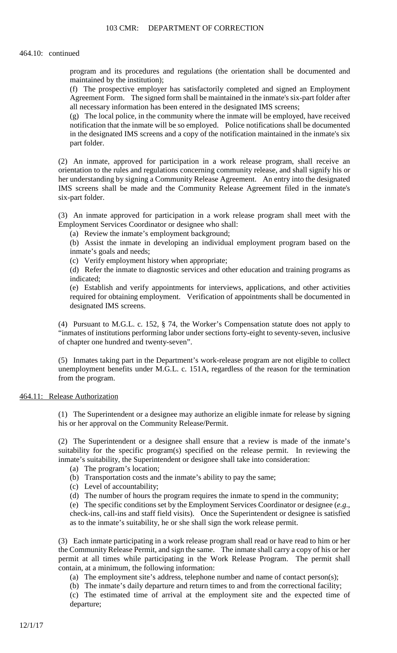#### 464.10: continued

program and its procedures and regulations (the orientation shall be documented and maintained by the institution);

(f) The prospective employer has satisfactorily completed and signed an Employment Agreement Form. The signed form shall be maintained in the inmate's six-part folder after all necessary information has been entered in the designated IMS screens;

(g) The local police, in the community where the inmate will be employed, have received notification that the inmate will be so employed. Police notifications shall be documented in the designated IMS screens and a copy of the notification maintained in the inmate's six part folder.

(2) An inmate, approved for participation in a work release program, shall receive an orientation to the rules and regulations concerning community release, and shall signify his or her understanding by signing a Community Release Agreement. An entry into the designated IMS screens shall be made and the Community Release Agreement filed in the inmate's six-part folder.

(3) An inmate approved for participation in a work release program shall meet with the Employment Services Coordinator or designee who shall:

(a) Review the inmate's employment background;

(b) Assist the inmate in developing an individual employment program based on the inmate's goals and needs;

(c) Verify employment history when appropriate;

(d) Refer the inmate to diagnostic services and other education and training programs as indicated;

(e) Establish and verify appointments for interviews, applications, and other activities required for obtaining employment. Verification of appointments shall be documented in designated IMS screens.

(4) Pursuant to M.G.L. c. 152, § 74, the Worker's Compensation statute does not apply to "inmates of institutions performing labor under sections forty-eight to seventy-seven, inclusive of chapter one hundred and twenty-seven".

(5) Inmates taking part in the Department's work-release program are not eligible to collect unemployment benefits under M.G.L. c. 151A, regardless of the reason for the termination from the program.

464.11: Release Authorization

(1) The Superintendent or a designee may authorize an eligible inmate for release by signing his or her approval on the Community Release/Permit.

(2) The Superintendent or a designee shall ensure that a review is made of the inmate's suitability for the specific program(s) specified on the release permit. In reviewing the inmate's suitability, the Superintendent or designee shall take into consideration:

- (a) The program's location;
- (b) Transportation costs and the inmate's ability to pay the same;
- (c) Level of accountability;
- (d) The number of hours the program requires the inmate to spend in the community;

(e) The specific conditions set by the Employment Services Coordinator or designee (*e.g*., check-ins, call-ins and staff field visits). Once the Superintendent or designee is satisfied as to the inmate's suitability, he or she shall sign the work release permit.

(3) Each inmate participating in a work release program shall read or have read to him or her the Community Release Permit, and sign the same. The inmate shall carry a copy of his or her permit at all times while participating in the Work Release Program. The permit shall contain, at a minimum, the following information:

(a) The employment site's address, telephone number and name of contact person(s);

(b) The inmate's daily departure and return times to and from the correctional facility;

(c) The estimated time of arrival at the employment site and the expected time of departure;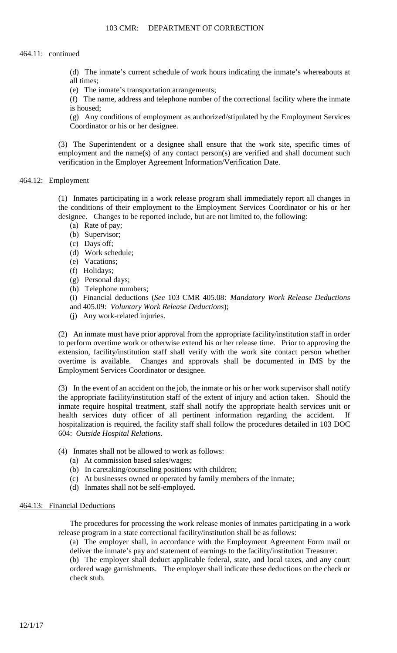# 464.11: continued

(d) The inmate's current schedule of work hours indicating the inmate's whereabouts at all times;

(e) The inmate's transportation arrangements;

(f) The name, address and telephone number of the correctional facility where the inmate is housed;

(g) Any conditions of employment as authorized/stipulated by the Employment Services Coordinator or his or her designee.

(3) The Superintendent or a designee shall ensure that the work site, specific times of employment and the name(s) of any contact person(s) are verified and shall document such verification in the Employer Agreement Information/Verification Date.

# 464.12: Employment

(1) Inmates participating in a work release program shall immediately report all changes in the conditions of their employment to the Employment Services Coordinator or his or her designee. Changes to be reported include, but are not limited to, the following:

- (a) Rate of pay;
- (b) Supervisor;
- (c) Days off;
- (d) Work schedule;
- (e) Vacations;
- (f) Holidays;
- (g) Personal days;
- (h) Telephone numbers;

(i) Financial deductions (*See* 103 CMR 405.08: *Mandatory Work Release Deductions* and 405.09: *Voluntary Work Release Deductions*);

(j) Any work-related injuries.

(2) An inmate must have prior approval from the appropriate facility/institution staff in order to perform overtime work or otherwise extend his or her release time. Prior to approving the extension, facility/institution staff shall verify with the work site contact person whether overtime is available. Changes and approvals shall be documented in IMS by the Employment Services Coordinator or designee.

(3) In the event of an accident on the job, the inmate or his or her work supervisor shall notify the appropriate facility/institution staff of the extent of injury and action taken. Should the inmate require hospital treatment, staff shall notify the appropriate health services unit or health services duty officer of all pertinent information regarding the accident. If hospitalization is required, the facility staff shall follow the procedures detailed in 103 DOC 604: *Outside Hospital Relations*.

- (4) Inmates shall not be allowed to work as follows:
	- (a) At commission based sales/wages;
	- (b) In caretaking/counseling positions with children;
	- (c) At businesses owned or operated by family members of the inmate;
	- (d) Inmates shall not be self-employed.

# 464.13: Financial Deductions

The procedures for processing the work release monies of inmates participating in a work release program in a state correctional facility/institution shall be as follows:

(a) The employer shall, in accordance with the Employment Agreement Form mail or deliver the inmate's pay and statement of earnings to the facility/institution Treasurer.

(b) The employer shall deduct applicable federal, state, and local taxes, and any court ordered wage garnishments. The employer shall indicate these deductions on the check or check stub.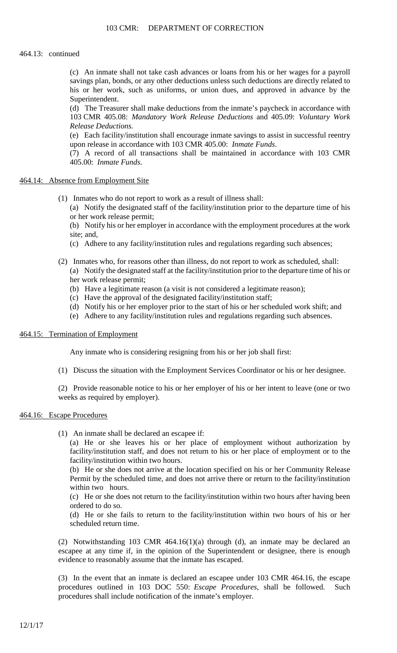# 464.13: continued

(c) An inmate shall not take cash advances or loans from his or her wages for a payroll savings plan, bonds, or any other deductions unless such deductions are directly related to his or her work, such as uniforms, or union dues, and approved in advance by the Superintendent.

(d) The Treasurer shall make deductions from the inmate's paycheck in accordance with 103 CMR 405.08: *Mandatory Work Release Deductions* and 405.09: *Voluntary Work Release Deductions.*

(e) Each facility/institution shall encourage inmate savings to assist in successful reentry upon release in accordance with 103 CMR 405.00: *Inmate Funds*.

(7) A record of all transactions shall be maintained in accordance with 103 CMR 405.00: *Inmate Funds*.

# 464.14: Absence from Employment Site

- (1) Inmates who do not report to work as a result of illness shall:
	- (a) Notify the designated staff of the facility/institution prior to the departure time of his or her work release permit;

(b) Notify his or her employer in accordance with the employment procedures at the work site; and,

- (c) Adhere to any facility/institution rules and regulations regarding such absences;
- (2) Inmates who, for reasons other than illness, do not report to work as scheduled, shall: (a) Notify the designated staff at the facility/institution prior to the departure time of his or her work release permit;
	- (b) Have a legitimate reason (a visit is not considered a legitimate reason);
	- (c) Have the approval of the designated facility/institution staff;
	- (d) Notify his or her employer prior to the start of his or her scheduled work shift; and
	- (e) Adhere to any facility/institution rules and regulations regarding such absences.

### 464.15: Termination of Employment

Any inmate who is considering resigning from his or her job shall first:

(1) Discuss the situation with the Employment Services Coordinator or his or her designee.

(2) Provide reasonable notice to his or her employer of his or her intent to leave (one or two weeks as required by employer).

# 464.16: Escape Procedures

(1) An inmate shall be declared an escapee if:

(a) He or she leaves his or her place of employment without authorization by facility/institution staff, and does not return to his or her place of employment or to the facility/institution within two hours.

(b) He or she does not arrive at the location specified on his or her Community Release Permit by the scheduled time, and does not arrive there or return to the facility/institution within two hours.

(c) He or she does not return to the facility/institution within two hours after having been ordered to do so.

(d) He or she fails to return to the facility/institution within two hours of his or her scheduled return time.

(2) Notwithstanding 103 CMR 464.16(1)(a) through (d), an inmate may be declared an escapee at any time if, in the opinion of the Superintendent or designee, there is enough evidence to reasonably assume that the inmate has escaped.

(3) In the event that an inmate is declared an escapee under 103 CMR 464.16, the escape procedures outlined in 103 DOC 550: *Escape Procedures*, shall be followed. Such procedures shall include notification of the inmate's employer.